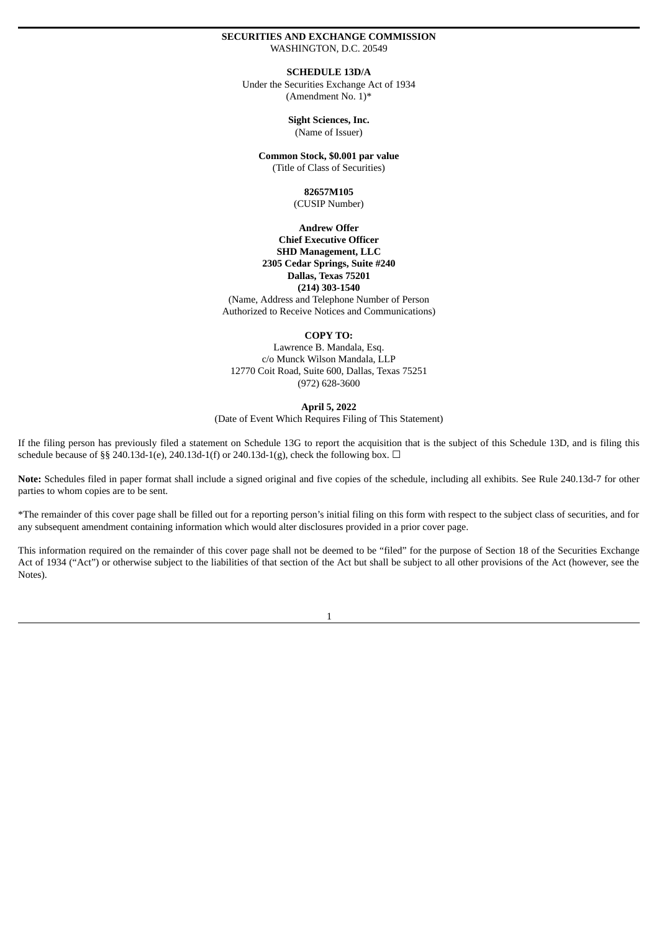#### **SECURITIES AND EXCHANGE COMMISSION** WASHINGTON, D.C. 20549

**SCHEDULE 13D/A**

Under the Securities Exchange Act of 1934 (Amendment No. 1)\*

> **Sight Sciences, Inc.** (Name of Issuer)

**Common Stock, \$0.001 par value** (Title of Class of Securities)

> **82657M105** (CUSIP Number)

**Andrew Offer Chief Executive Officer SHD Management, LLC 2305 Cedar Springs, Suite #240 Dallas, Texas 75201 (214) 303-1540** (Name, Address and Telephone Number of Person Authorized to Receive Notices and Communications)

#### **COPY TO:**

Lawrence B. Mandala, Esq. c/o Munck Wilson Mandala, LLP 12770 Coit Road, Suite 600, Dallas, Texas 75251 (972) 628-3600

**April 5, 2022**

(Date of Event Which Requires Filing of This Statement)

If the filing person has previously filed a statement on Schedule 13G to report the acquisition that is the subject of this Schedule 13D, and is filing this schedule because of §§ 240.13d-1(e), 240.13d-1(f) or 240.13d-1(g), check the following box.  $\Box$ 

**Note:** Schedules filed in paper format shall include a signed original and five copies of the schedule, including all exhibits. See Rule 240.13d-7 for other parties to whom copies are to be sent.

\*The remainder of this cover page shall be filled out for a reporting person's initial filing on this form with respect to the subject class of securities, and for any subsequent amendment containing information which would alter disclosures provided in a prior cover page.

This information required on the remainder of this cover page shall not be deemed to be "filed" for the purpose of Section 18 of the Securities Exchange Act of 1934 ("Act") or otherwise subject to the liabilities of that section of the Act but shall be subject to all other provisions of the Act (however, see the Notes).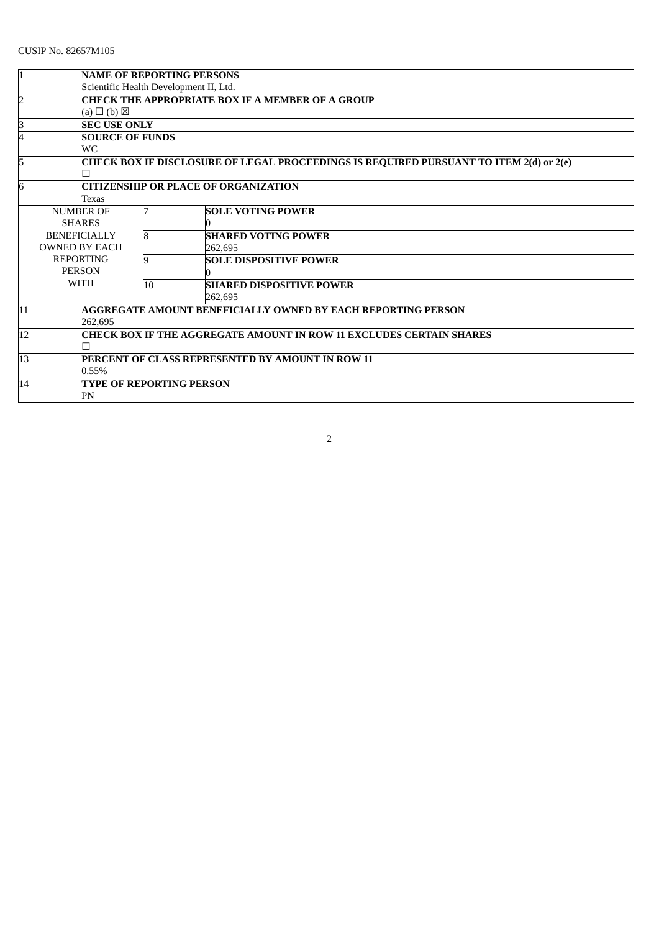| 1                                                                                           | <b>NAME OF REPORTING PERSONS</b>       |                                                         |                                                                     |  |  |
|---------------------------------------------------------------------------------------------|----------------------------------------|---------------------------------------------------------|---------------------------------------------------------------------|--|--|
|                                                                                             | Scientific Health Development II, Ltd. |                                                         |                                                                     |  |  |
| $\overline{2}$                                                                              |                                        | <b>CHECK THE APPROPRIATE BOX IF A MEMBER OF A GROUP</b> |                                                                     |  |  |
|                                                                                             | $(a) \Box (b) \boxtimes$               |                                                         |                                                                     |  |  |
| З                                                                                           | <b>SEC USE ONLY</b>                    |                                                         |                                                                     |  |  |
| 4                                                                                           | <b>SOURCE OF FUNDS</b>                 |                                                         |                                                                     |  |  |
|                                                                                             | WС                                     |                                                         |                                                                     |  |  |
| 5<br>CHECK BOX IF DISCLOSURE OF LEGAL PROCEEDINGS IS REQUIRED PURSUANT TO ITEM 2(d) or 2(e) |                                        |                                                         |                                                                     |  |  |
|                                                                                             |                                        |                                                         |                                                                     |  |  |
| 6                                                                                           |                                        | <b>CITIZENSHIP OR PLACE OF ORGANIZATION</b>             |                                                                     |  |  |
|                                                                                             | Texas                                  |                                                         |                                                                     |  |  |
|                                                                                             | <b>NUMBER OF</b>                       |                                                         | <b>SOLE VOTING POWER</b>                                            |  |  |
|                                                                                             | <b>SHARES</b>                          |                                                         |                                                                     |  |  |
|                                                                                             | <b>BENEFICIALLY</b>                    | 8                                                       | <b>SHARED VOTING POWER</b>                                          |  |  |
|                                                                                             | <b>OWNED BY EACH</b>                   |                                                         | 262.695                                                             |  |  |
|                                                                                             | <b>REPORTING</b>                       |                                                         | <b>SOLE DISPOSITIVE POWER</b>                                       |  |  |
|                                                                                             | <b>PERSON</b>                          |                                                         |                                                                     |  |  |
|                                                                                             | <b>WITH</b>                            | 10                                                      | <b>SHARED DISPOSITIVE POWER</b>                                     |  |  |
|                                                                                             |                                        |                                                         | 262.695                                                             |  |  |
| 11                                                                                          |                                        |                                                         | AGGREGATE AMOUNT BENEFICIALLY OWNED BY EACH REPORTING PERSON        |  |  |
|                                                                                             | 262.695                                |                                                         |                                                                     |  |  |
| 12                                                                                          |                                        |                                                         | CHECK BOX IF THE AGGREGATE AMOUNT IN ROW 11 EXCLUDES CERTAIN SHARES |  |  |
|                                                                                             |                                        |                                                         |                                                                     |  |  |
| 13                                                                                          |                                        |                                                         | <b>PERCENT OF CLASS REPRESENTED BY AMOUNT IN ROW 11</b>             |  |  |
|                                                                                             | 0.55%                                  |                                                         |                                                                     |  |  |
| 14                                                                                          |                                        | <b>TYPE OF REPORTING PERSON</b>                         |                                                                     |  |  |
| PN                                                                                          |                                        |                                                         |                                                                     |  |  |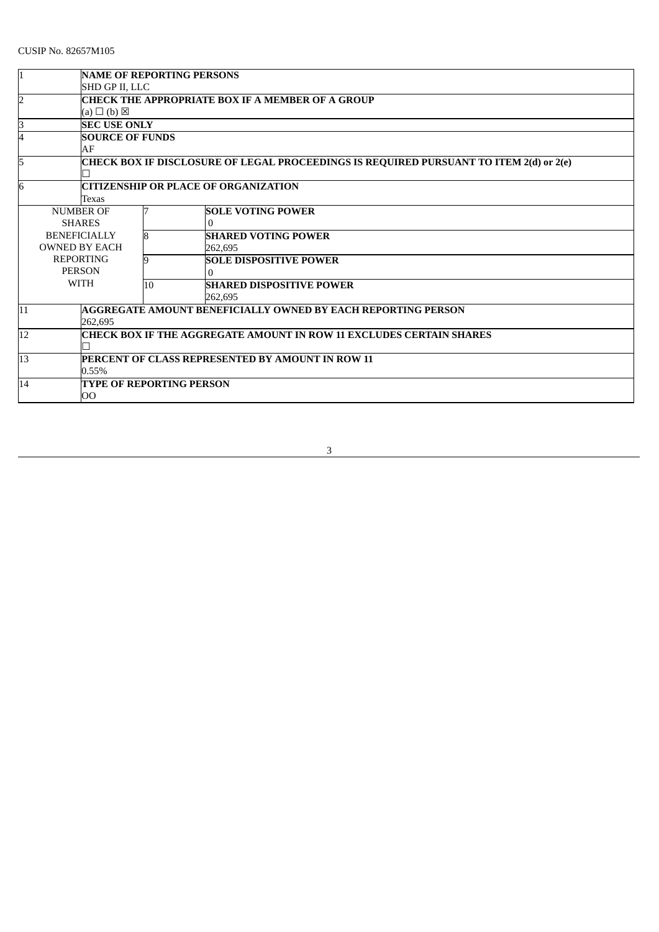| <b>NAME OF REPORTING PERSONS</b>                                                            |                      |                                                                     |    |                                                                     |  |  |
|---------------------------------------------------------------------------------------------|----------------------|---------------------------------------------------------------------|----|---------------------------------------------------------------------|--|--|
|                                                                                             |                      | SHD GP II, LLC                                                      |    |                                                                     |  |  |
| <b>CHECK THE APPROPRIATE BOX IF A MEMBER OF A GROUP</b><br>2                                |                      |                                                                     |    |                                                                     |  |  |
|                                                                                             |                      | $(a) \Box (b) \boxtimes$                                            |    |                                                                     |  |  |
| ß.                                                                                          |                      | <b>SEC USE ONLY</b>                                                 |    |                                                                     |  |  |
| <b>SOURCE OF FUNDS</b><br>4                                                                 |                      |                                                                     |    |                                                                     |  |  |
|                                                                                             | AF                   |                                                                     |    |                                                                     |  |  |
| CHECK BOX IF DISCLOSURE OF LEGAL PROCEEDINGS IS REQUIRED PURSUANT TO ITEM 2(d) or 2(e)<br>5 |                      |                                                                     |    |                                                                     |  |  |
|                                                                                             |                      |                                                                     |    |                                                                     |  |  |
| 6                                                                                           |                      |                                                                     |    | <b>CITIZENSHIP OR PLACE OF ORGANIZATION</b>                         |  |  |
|                                                                                             |                      | Texas                                                               |    |                                                                     |  |  |
|                                                                                             | <b>NUMBER OF</b>     |                                                                     |    | <b>SOLE VOTING POWER</b>                                            |  |  |
|                                                                                             | <b>SHARES</b>        |                                                                     |    | $\Omega$                                                            |  |  |
|                                                                                             | <b>BENEFICIALLY</b>  |                                                                     |    | <b>SHARED VOTING POWER</b>                                          |  |  |
|                                                                                             | <b>OWNED BY EACH</b> |                                                                     |    | 262.695                                                             |  |  |
|                                                                                             | <b>REPORTING</b>     |                                                                     | q  | <b>SOLE DISPOSITIVE POWER</b>                                       |  |  |
|                                                                                             | <b>PERSON</b>        |                                                                     |    |                                                                     |  |  |
|                                                                                             | <b>WITH</b>          |                                                                     | 10 | <b>SHARED DISPOSITIVE POWER</b>                                     |  |  |
|                                                                                             |                      |                                                                     |    | 262,695                                                             |  |  |
| 11                                                                                          |                      |                                                                     |    | <b>AGGREGATE AMOUNT BENEFICIALLY OWNED BY EACH REPORTING PERSON</b> |  |  |
|                                                                                             | 262.695              |                                                                     |    |                                                                     |  |  |
| 12                                                                                          |                      | CHECK BOX IF THE AGGREGATE AMOUNT IN ROW 11 EXCLUDES CERTAIN SHARES |    |                                                                     |  |  |
|                                                                                             |                      |                                                                     |    |                                                                     |  |  |
| PERCENT OF CLASS REPRESENTED BY AMOUNT IN ROW 11<br>13                                      |                      |                                                                     |    |                                                                     |  |  |
|                                                                                             |                      | $0.55\%$                                                            |    |                                                                     |  |  |
| TYPE OF REPORTING PERSON<br>14                                                              |                      |                                                                     |    |                                                                     |  |  |
| OO                                                                                          |                      |                                                                     |    |                                                                     |  |  |

<u>a shekara ta 1989 a shekara ta 1981 a shekara ta 1981 a shekara ta 1981 a shekara ta 1981 a shekara ta 1981 a</u>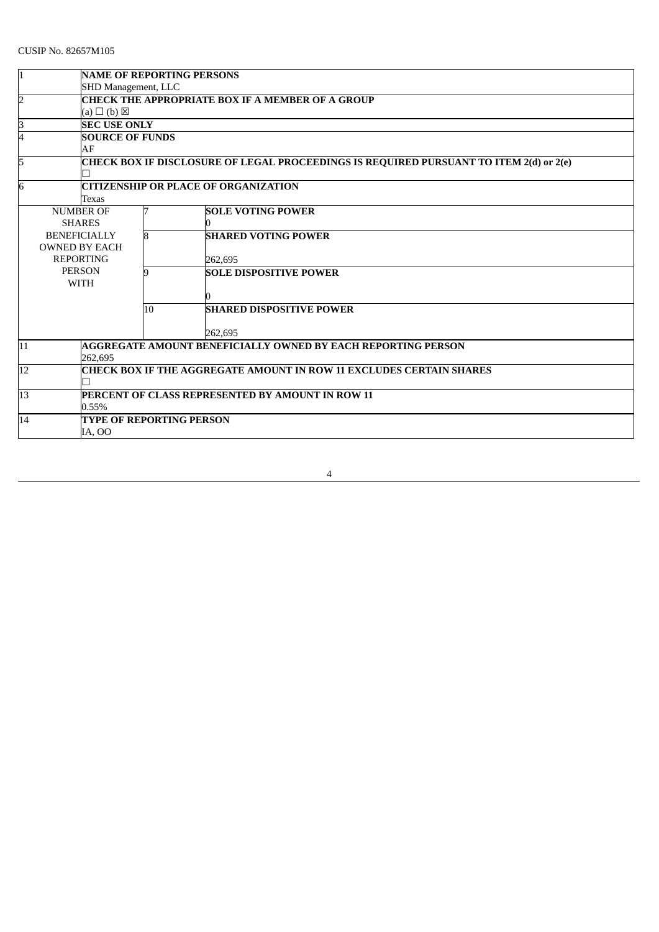| 1                                                |                                                                     | <b>NAME OF REPORTING PERSONS</b>                        |                                                                                        |  |  |  |
|--------------------------------------------------|---------------------------------------------------------------------|---------------------------------------------------------|----------------------------------------------------------------------------------------|--|--|--|
|                                                  | SHD Management, LLC                                                 |                                                         |                                                                                        |  |  |  |
| $\overline{2}$                                   |                                                                     | <b>CHECK THE APPROPRIATE BOX IF A MEMBER OF A GROUP</b> |                                                                                        |  |  |  |
|                                                  | $(a) \Box (b) \boxtimes$                                            |                                                         |                                                                                        |  |  |  |
| 3                                                | <b>SEC USE ONLY</b>                                                 |                                                         |                                                                                        |  |  |  |
| 4                                                |                                                                     | <b>SOURCE OF FUNDS</b>                                  |                                                                                        |  |  |  |
|                                                  | AF                                                                  |                                                         |                                                                                        |  |  |  |
| 5                                                |                                                                     |                                                         | CHECK BOX IF DISCLOSURE OF LEGAL PROCEEDINGS IS REQUIRED PURSUANT TO ITEM 2(d) or 2(e) |  |  |  |
|                                                  |                                                                     |                                                         |                                                                                        |  |  |  |
| 6<br><b>CITIZENSHIP OR PLACE OF ORGANIZATION</b> |                                                                     |                                                         |                                                                                        |  |  |  |
|                                                  | Texas                                                               |                                                         |                                                                                        |  |  |  |
|                                                  | <b>NUMBER OF</b>                                                    |                                                         | <b>SOLE VOTING POWER</b>                                                               |  |  |  |
|                                                  | <b>SHARES</b>                                                       |                                                         |                                                                                        |  |  |  |
|                                                  | <b>BENEFICIALLY</b>                                                 | l8                                                      | <b>SHARED VOTING POWER</b>                                                             |  |  |  |
|                                                  | <b>OWNED BY EACH</b>                                                |                                                         |                                                                                        |  |  |  |
|                                                  | <b>REPORTING</b>                                                    |                                                         | 262,695                                                                                |  |  |  |
|                                                  | <b>PERSON</b>                                                       | q                                                       | <b>SOLE DISPOSITIVE POWER</b>                                                          |  |  |  |
| <b>WITH</b>                                      |                                                                     |                                                         |                                                                                        |  |  |  |
|                                                  |                                                                     |                                                         |                                                                                        |  |  |  |
|                                                  |                                                                     | 10                                                      | <b>SHARED DISPOSITIVE POWER</b>                                                        |  |  |  |
|                                                  |                                                                     |                                                         |                                                                                        |  |  |  |
|                                                  |                                                                     |                                                         | 262.695                                                                                |  |  |  |
| 11                                               |                                                                     |                                                         | AGGREGATE AMOUNT BENEFICIALLY OWNED BY EACH REPORTING PERSON                           |  |  |  |
|                                                  | 262.695                                                             |                                                         |                                                                                        |  |  |  |
| 12                                               | CHECK BOX IF THE AGGREGATE AMOUNT IN ROW 11 EXCLUDES CERTAIN SHARES |                                                         |                                                                                        |  |  |  |
|                                                  |                                                                     |                                                         |                                                                                        |  |  |  |
| 13                                               |                                                                     |                                                         | PERCENT OF CLASS REPRESENTED BY AMOUNT IN ROW 11                                       |  |  |  |
|                                                  | 0.55%                                                               |                                                         |                                                                                        |  |  |  |
| 14                                               |                                                                     |                                                         | <b>TYPE OF REPORTING PERSON</b>                                                        |  |  |  |
|                                                  | IA, OO                                                              |                                                         |                                                                                        |  |  |  |

4

<u> 1980 - Johann Barn, mars ar breithinn ar chuid ann an t-Alban ann an t-Alban ann an t-Alban ann an t-Alban a</u>

<u> 1980 - Johann Barn, mars an t-Amerikaansk politiker (</u>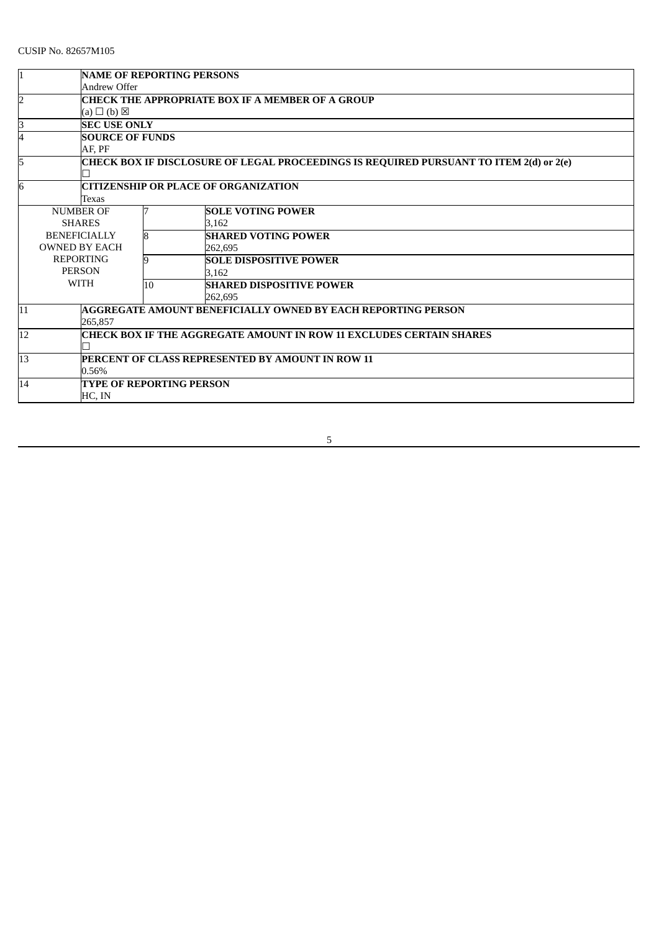| <b>NAME OF REPORTING PERSONS</b><br>I1                                    |                          |                                                                                        |                                                              |  |  |
|---------------------------------------------------------------------------|--------------------------|----------------------------------------------------------------------------------------|--------------------------------------------------------------|--|--|
|                                                                           | Andrew Offer             |                                                                                        |                                                              |  |  |
| CHECK THE APPROPRIATE BOX IF A MEMBER OF A GROUP<br>2                     |                          |                                                                                        |                                                              |  |  |
|                                                                           | $(a) \Box (b) \boxtimes$ |                                                                                        |                                                              |  |  |
| ß                                                                         | <b>SEC USE ONLY</b>      |                                                                                        |                                                              |  |  |
| 4                                                                         |                          | <b>SOURCE OF FUNDS</b>                                                                 |                                                              |  |  |
|                                                                           | AF. PF                   |                                                                                        |                                                              |  |  |
| 5                                                                         |                          | CHECK BOX IF DISCLOSURE OF LEGAL PROCEEDINGS IS REQUIRED PURSUANT TO ITEM 2(d) or 2(e) |                                                              |  |  |
|                                                                           |                          |                                                                                        |                                                              |  |  |
| 6                                                                         |                          |                                                                                        | CITIZENSHIP OR PLACE OF ORGANIZATION                         |  |  |
|                                                                           | Texas                    |                                                                                        |                                                              |  |  |
|                                                                           | <b>NUMBER OF</b>         |                                                                                        | <b>SOLE VOTING POWER</b>                                     |  |  |
|                                                                           | <b>SHARES</b>            |                                                                                        | 3.162                                                        |  |  |
|                                                                           | <b>BENEFICIALLY</b>      |                                                                                        | <b>SHARED VOTING POWER</b>                                   |  |  |
|                                                                           | <b>OWNED BY EACH</b>     |                                                                                        | 262.695                                                      |  |  |
|                                                                           | <b>REPORTING</b>         |                                                                                        | <b>SOLE DISPOSITIVE POWER</b>                                |  |  |
|                                                                           | <b>PERSON</b>            |                                                                                        | 3.162                                                        |  |  |
|                                                                           | <b>WITH</b>              | 10                                                                                     | <b>SHARED DISPOSITIVE POWER</b>                              |  |  |
|                                                                           |                          |                                                                                        | 262,695                                                      |  |  |
| 11                                                                        |                          |                                                                                        | AGGREGATE AMOUNT BENEFICIALLY OWNED BY EACH REPORTING PERSON |  |  |
|                                                                           | 265.857                  |                                                                                        |                                                              |  |  |
| CHECK BOX IF THE AGGREGATE AMOUNT IN ROW 11 EXCLUDES CERTAIN SHARES<br>12 |                          |                                                                                        |                                                              |  |  |
|                                                                           |                          |                                                                                        |                                                              |  |  |
| 13<br>PERCENT OF CLASS REPRESENTED BY AMOUNT IN ROW 11                    |                          |                                                                                        |                                                              |  |  |
|                                                                           | 0.56%                    |                                                                                        |                                                              |  |  |
| 14                                                                        |                          | <b>TYPE OF REPORTING PERSON</b>                                                        |                                                              |  |  |
|                                                                           | HC, IN                   |                                                                                        |                                                              |  |  |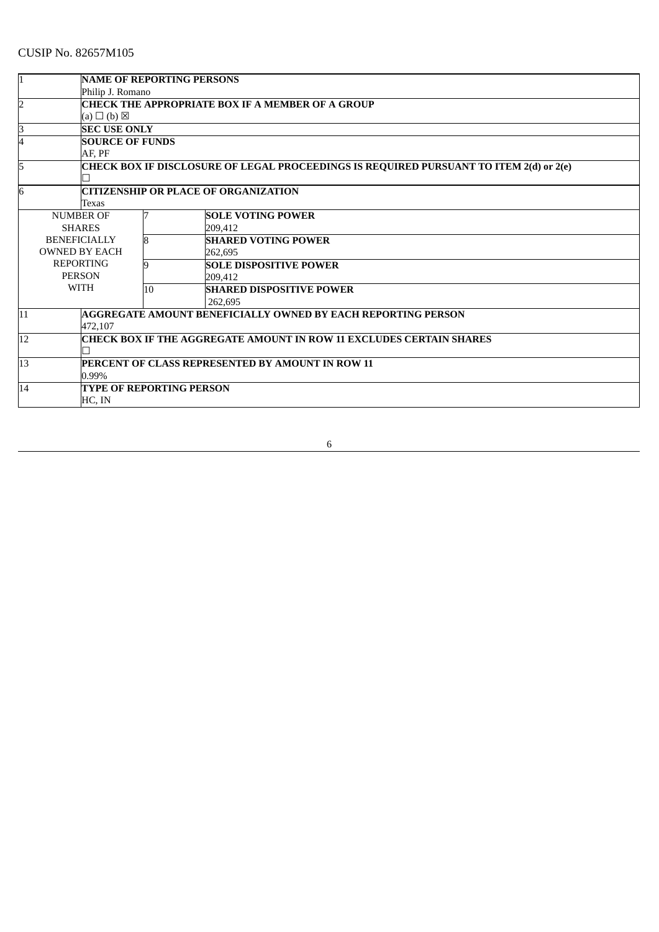|                                                                                             | <b>NAME OF REPORTING PERSONS</b>                                           |    |                                                                     |  |  |
|---------------------------------------------------------------------------------------------|----------------------------------------------------------------------------|----|---------------------------------------------------------------------|--|--|
|                                                                                             | Philip J. Romano                                                           |    |                                                                     |  |  |
| $\overline{2}$                                                                              | CHECK THE APPROPRIATE BOX IF A MEMBER OF A GROUP                           |    |                                                                     |  |  |
|                                                                                             | $(a) \Box (b) \boxtimes$                                                   |    |                                                                     |  |  |
| $\overline{\mathbf{3}}$                                                                     | <b>SEC USE ONLY</b>                                                        |    |                                                                     |  |  |
| 4                                                                                           | <b>SOURCE OF FUNDS</b>                                                     |    |                                                                     |  |  |
|                                                                                             | AF. PF                                                                     |    |                                                                     |  |  |
| 5<br>CHECK BOX IF DISCLOSURE OF LEGAL PROCEEDINGS IS REQUIRED PURSUANT TO ITEM 2(d) or 2(e) |                                                                            |    |                                                                     |  |  |
|                                                                                             |                                                                            |    |                                                                     |  |  |
| 6<br>CITIZENSHIP OR PLACE OF ORGANIZATION                                                   |                                                                            |    |                                                                     |  |  |
|                                                                                             | Texas                                                                      |    |                                                                     |  |  |
|                                                                                             | <b>NUMBER OF</b>                                                           |    | <b>SOLE VOTING POWER</b>                                            |  |  |
|                                                                                             | <b>SHARES</b>                                                              |    | 209.412                                                             |  |  |
|                                                                                             | <b>BENEFICIALLY</b>                                                        | 8  | <b>SHARED VOTING POWER</b>                                          |  |  |
|                                                                                             | <b>OWNED BY EACH</b>                                                       |    | 262.695                                                             |  |  |
|                                                                                             | <b>REPORTING</b>                                                           | 9  | <b>SOLE DISPOSITIVE POWER</b>                                       |  |  |
|                                                                                             | <b>PERSON</b>                                                              |    | 209.412                                                             |  |  |
|                                                                                             | <b>WITH</b>                                                                | 10 | <b>SHARED DISPOSITIVE POWER</b>                                     |  |  |
|                                                                                             |                                                                            |    | 262.695                                                             |  |  |
| 11                                                                                          |                                                                            |    | <b>AGGREGATE AMOUNT BENEFICIALLY OWNED BY EACH REPORTING PERSON</b> |  |  |
|                                                                                             | 472.107                                                                    |    |                                                                     |  |  |
| 12                                                                                          | <b>CHECK BOX IF THE AGGREGATE AMOUNT IN ROW 11 EXCLUDES CERTAIN SHARES</b> |    |                                                                     |  |  |
|                                                                                             |                                                                            |    |                                                                     |  |  |
| 13                                                                                          |                                                                            |    | PERCENT OF CLASS REPRESENTED BY AMOUNT IN ROW 11                    |  |  |
|                                                                                             | 0.99%                                                                      |    |                                                                     |  |  |
| 14                                                                                          | <b>TYPE OF REPORTING PERSON</b>                                            |    |                                                                     |  |  |
|                                                                                             | HC, IN                                                                     |    |                                                                     |  |  |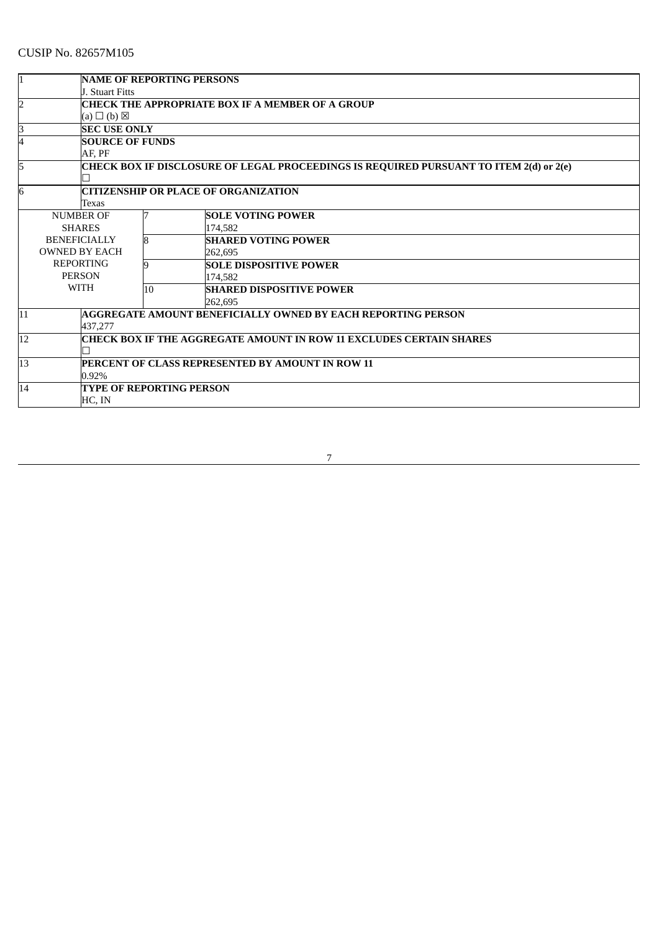|                                                                                             | <b>NAME OF REPORTING PERSONS</b><br><b>J. Stuart Fitts</b> |                                                                            |                                                              |  |  |
|---------------------------------------------------------------------------------------------|------------------------------------------------------------|----------------------------------------------------------------------------|--------------------------------------------------------------|--|--|
| $\overline{2}$                                                                              | CHECK THE APPROPRIATE BOX IF A MEMBER OF A GROUP           |                                                                            |                                                              |  |  |
|                                                                                             | $(a) \Box (b) \boxtimes$                                   |                                                                            |                                                              |  |  |
| З                                                                                           | <b>SEC USE ONLY</b>                                        |                                                                            |                                                              |  |  |
| 4                                                                                           | <b>SOURCE OF FUNDS</b>                                     |                                                                            |                                                              |  |  |
|                                                                                             | AF, PF                                                     |                                                                            |                                                              |  |  |
| 5<br>CHECK BOX IF DISCLOSURE OF LEGAL PROCEEDINGS IS REQUIRED PURSUANT TO ITEM 2(d) or 2(e) |                                                            |                                                                            |                                                              |  |  |
|                                                                                             |                                                            |                                                                            |                                                              |  |  |
| 6<br>CITIZENSHIP OR PLACE OF ORGANIZATION                                                   |                                                            |                                                                            |                                                              |  |  |
|                                                                                             | Texas                                                      |                                                                            |                                                              |  |  |
|                                                                                             | <b>NUMBER OF</b>                                           |                                                                            | <b>SOLE VOTING POWER</b>                                     |  |  |
|                                                                                             | <b>SHARES</b>                                              |                                                                            | 174.582                                                      |  |  |
|                                                                                             | <b>BENEFICIALLY</b>                                        | 8                                                                          | <b>SHARED VOTING POWER</b>                                   |  |  |
|                                                                                             | <b>OWNED BY EACH</b>                                       |                                                                            | 262.695                                                      |  |  |
|                                                                                             | <b>REPORTING</b>                                           | 9                                                                          | <b>SOLE DISPOSITIVE POWER</b>                                |  |  |
|                                                                                             | <b>PERSON</b>                                              |                                                                            | 174.582                                                      |  |  |
|                                                                                             | <b>WITH</b>                                                | 10                                                                         | <b>SHARED DISPOSITIVE POWER</b>                              |  |  |
|                                                                                             |                                                            |                                                                            | 262,695                                                      |  |  |
| 11                                                                                          |                                                            |                                                                            | AGGREGATE AMOUNT BENEFICIALLY OWNED BY EACH REPORTING PERSON |  |  |
|                                                                                             | 437.277                                                    |                                                                            |                                                              |  |  |
| 12                                                                                          |                                                            | <b>CHECK BOX IF THE AGGREGATE AMOUNT IN ROW 11 EXCLUDES CERTAIN SHARES</b> |                                                              |  |  |
|                                                                                             |                                                            |                                                                            |                                                              |  |  |
| 13                                                                                          | PERCENT OF CLASS REPRESENTED BY AMOUNT IN ROW 11           |                                                                            |                                                              |  |  |
|                                                                                             | 0.92%                                                      |                                                                            |                                                              |  |  |
| 14                                                                                          |                                                            | TYPE OF REPORTING PERSON                                                   |                                                              |  |  |
|                                                                                             | HC, IN                                                     |                                                                            |                                                              |  |  |

<u>т собрание представители при принцип на представители при принцип на принцепители на принцепители на принцепи<br>В 1990 године при принцепители при принцепители на принцепители на принцепители на принцепители на принцепител</u>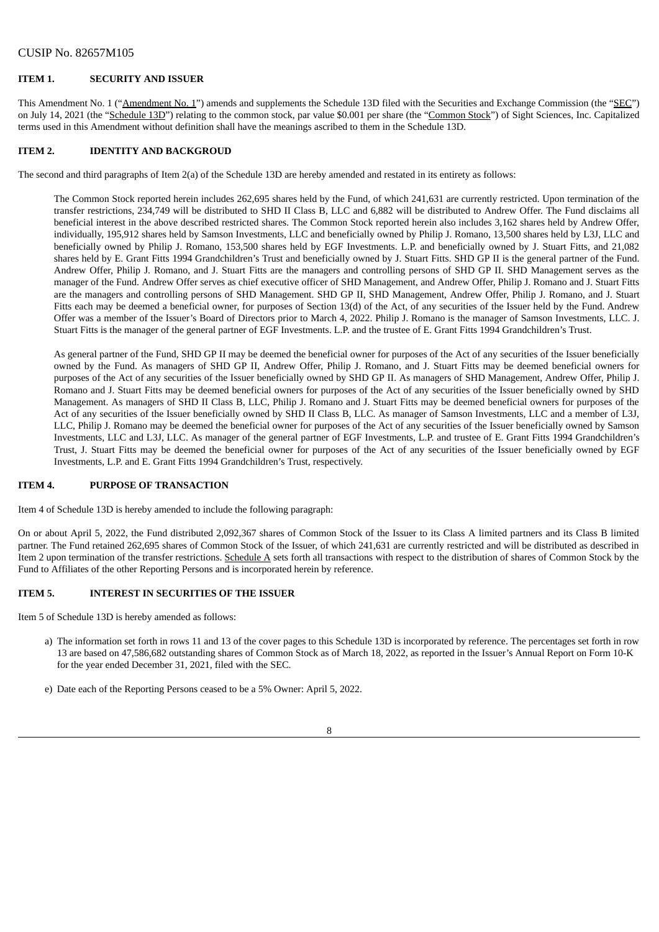## **ITEM 1. SECURITY AND ISSUER**

This Amendment No. 1 ("Amendment No. 1") amends and supplements the Schedule 13D filed with the Securities and Exchange Commission (the "SEC") on July 14, 2021 (the "Schedule 13D") relating to the common stock, par value \$0.001 per share (the "Common Stock") of Sight Sciences, Inc. Capitalized terms used in this Amendment without definition shall have the meanings ascribed to them in the Schedule 13D.

#### **ITEM 2. IDENTITY AND BACKGROUD**

The second and third paragraphs of Item 2(a) of the Schedule 13D are hereby amended and restated in its entirety as follows:

The Common Stock reported herein includes 262,695 shares held by the Fund, of which 241,631 are currently restricted. Upon termination of the transfer restrictions, 234,749 will be distributed to SHD II Class B, LLC and 6,882 will be distributed to Andrew Offer. The Fund disclaims all beneficial interest in the above described restricted shares. The Common Stock reported herein also includes 3,162 shares held by Andrew Offer, individually, 195,912 shares held by Samson Investments, LLC and beneficially owned by Philip J. Romano, 13,500 shares held by L3J, LLC and beneficially owned by Philip J. Romano, 153,500 shares held by EGF Investments. L.P. and beneficially owned by J. Stuart Fitts, and 21,082 shares held by E. Grant Fitts 1994 Grandchildren's Trust and beneficially owned by J. Stuart Fitts. SHD GP II is the general partner of the Fund. Andrew Offer, Philip J. Romano, and J. Stuart Fitts are the managers and controlling persons of SHD GP II. SHD Management serves as the manager of the Fund. Andrew Offer serves as chief executive officer of SHD Management, and Andrew Offer, Philip J. Romano and J. Stuart Fitts are the managers and controlling persons of SHD Management. SHD GP II, SHD Management, Andrew Offer, Philip J. Romano, and J. Stuart Fitts each may be deemed a beneficial owner, for purposes of Section 13(d) of the Act, of any securities of the Issuer held by the Fund. Andrew Offer was a member of the Issuer's Board of Directors prior to March 4, 2022. Philip J. Romano is the manager of Samson Investments, LLC. J. Stuart Fitts is the manager of the general partner of EGF Investments. L.P. and the trustee of E. Grant Fitts 1994 Grandchildren's Trust.

As general partner of the Fund, SHD GP II may be deemed the beneficial owner for purposes of the Act of any securities of the Issuer beneficially owned by the Fund. As managers of SHD GP II, Andrew Offer, Philip J. Romano, and J. Stuart Fitts may be deemed beneficial owners for purposes of the Act of any securities of the Issuer beneficially owned by SHD GP II. As managers of SHD Management, Andrew Offer, Philip J. Romano and J. Stuart Fitts may be deemed beneficial owners for purposes of the Act of any securities of the Issuer beneficially owned by SHD Management. As managers of SHD II Class B, LLC, Philip J. Romano and J. Stuart Fitts may be deemed beneficial owners for purposes of the Act of any securities of the Issuer beneficially owned by SHD II Class B, LLC. As manager of Samson Investments, LLC and a member of L3J, LLC, Philip J. Romano may be deemed the beneficial owner for purposes of the Act of any securities of the Issuer beneficially owned by Samson Investments, LLC and L3J, LLC. As manager of the general partner of EGF Investments, L.P. and trustee of E. Grant Fitts 1994 Grandchildren's Trust, J. Stuart Fitts may be deemed the beneficial owner for purposes of the Act of any securities of the Issuer beneficially owned by EGF Investments, L.P. and E. Grant Fitts 1994 Grandchildren's Trust, respectively.

#### **ITEM 4. PURPOSE OF TRANSACTION**

Item 4 of Schedule 13D is hereby amended to include the following paragraph:

On or about April 5, 2022, the Fund distributed 2,092,367 shares of Common Stock of the Issuer to its Class A limited partners and its Class B limited partner. The Fund retained 262,695 shares of Common Stock of the Issuer, of which 241,631 are currently restricted and will be distributed as described in Item 2 upon termination of the transfer restrictions. Schedule A sets forth all transactions with respect to the distribution of shares of Common Stock by the Fund to Affiliates of the other Reporting Persons and is incorporated herein by reference.

#### **ITEM 5. INTEREST IN SECURITIES OF THE ISSUER**

Item 5 of Schedule 13D is hereby amended as follows:

- a) The information set forth in rows 11 and 13 of the cover pages to this Schedule 13D is incorporated by reference. The percentages set forth in row 13 are based on 47,586,682 outstanding shares of Common Stock as of March 18, 2022, as reported in the Issuer's Annual Report on Form 10-K for the year ended December 31, 2021, filed with the SEC.
- e) Date each of the Reporting Persons ceased to be a 5% Owner: April 5, 2022.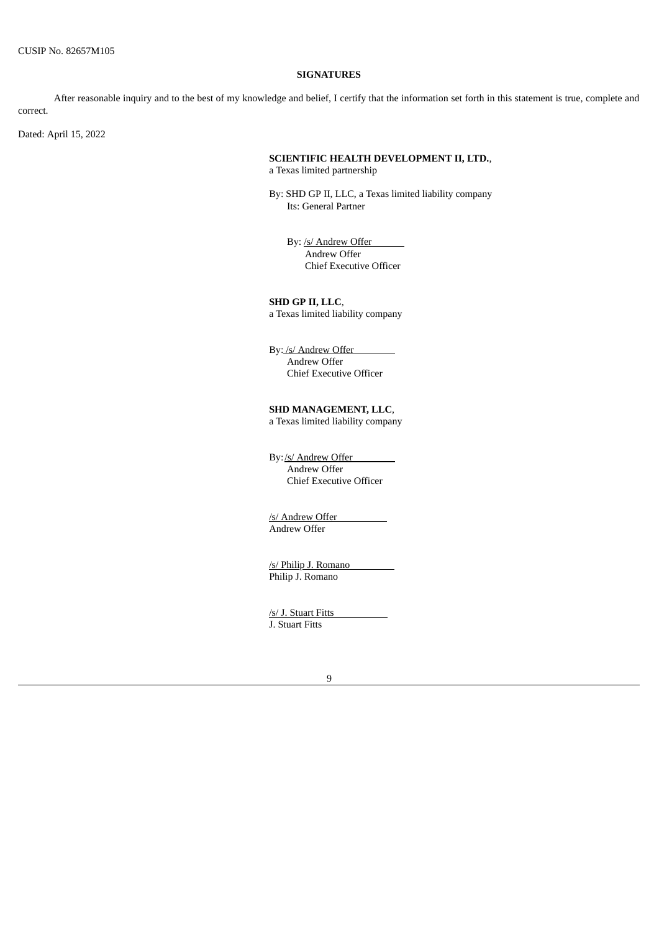#### **SIGNATURES**

After reasonable inquiry and to the best of my knowledge and belief, I certify that the information set forth in this statement is true, complete and correct.

Dated: April 15, 2022

# **SCIENTIFIC HEALTH DEVELOPMENT II, LTD.**,

a Texas limited partnership

By: SHD GP II, LLC, a Texas limited liability company Its: General Partner

By: /s/ Andrew Offer Andrew Offer Chief Executive Officer

**SHD GP II, LLC**, a Texas limited liability company

By: /s/ Andrew Offer Andrew Offer Chief Executive Officer

# **SHD MANAGEMENT, LLC**,

a Texas limited liability company

By:/s/ Andrew Offer Andrew Offer Chief Executive Officer

/s/ Andrew Offer Andrew Offer

/s/ Philip J. Romano Philip J. Romano

/s/ J. Stuart Fitts J. Stuart Fitts